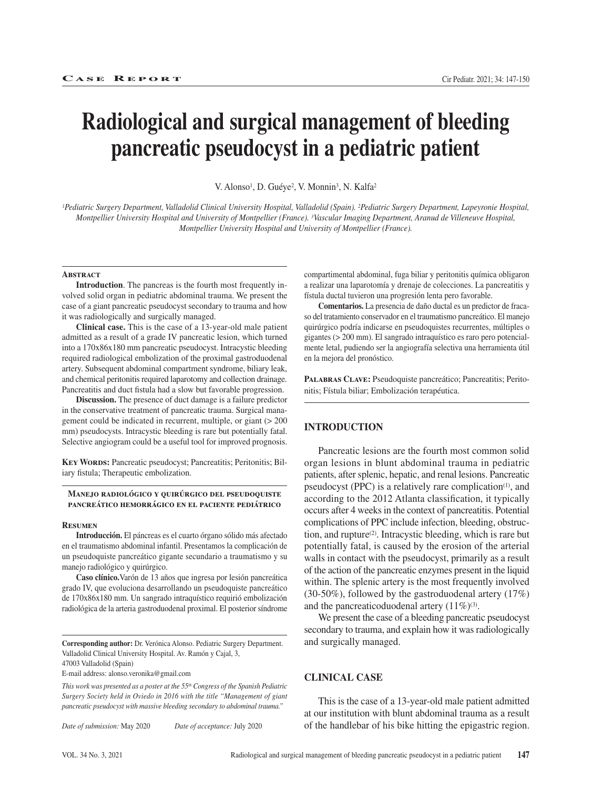# **Radiological and surgical management of bleeding pancreatic pseudocyst in a pediatric patient**

V. Alonso<sup>1</sup>, D. Guéye<sup>2</sup>, V. Monnin<sup>3</sup>, N. Kalfa<sup>2</sup>

*1Pediatric Surgery Department, Valladolid Clinical University Hospital, Valladolid (Spain). 2Pediatric Surgery Department, Lapeyronie Hospital, Montpellier University Hospital and University of Montpellier (France). 3Vascular Imaging Department, Aranud de Villeneuve Hospital, Montpellier University Hospital and University of Montpellier (France).* 

#### **Abstract**

**Introduction**. The pancreas is the fourth most frequently involved solid organ in pediatric abdominal trauma. We present the case of a giant pancreatic pseudocyst secondary to trauma and how it was radiologically and surgically managed.

**Clinical case.** This is the case of a 13-year-old male patient admitted as a result of a grade IV pancreatic lesion, which turned into a 170x86x180 mm pancreatic pseudocyst. Intracystic bleeding required radiological embolization of the proximal gastroduodenal artery. Subsequent abdominal compartment syndrome, biliary leak, and chemical peritonitis required laparotomy and collection drainage. Pancreatitis and duct fistula had a slow but favorable progression.

**Discussion.** The presence of duct damage is a failure predictor in the conservative treatment of pancreatic trauma. Surgical management could be indicated in recurrent, multiple, or giant (> 200 mm) pseudocysts. Intracystic bleeding is rare but potentially fatal. Selective angiogram could be a useful tool for improved prognosis.

**Key Words:** Pancreatic pseudocyst; Pancreatitis; Peritonitis; Biliary fistula; Therapeutic embolization.

#### **Manejo radiológico y quirúrgico del pseudoquiste pancreático hemorrágico en el paciente pediátrico**

#### **Resumen**

**Introducción.** El páncreas es el cuarto órgano sólido más afectado en el traumatismo abdominal infantil. Presentamos la complicación de un pseudoquiste pancreático gigante secundario a traumatismo y su manejo radiológico y quirúrgico.

**Caso clínico.**Varón de 13 años que ingresa por lesión pancreática grado IV, que evoluciona desarrollando un pseudoquiste pancreático de 170x86x180 mm. Un sangrado intraquístico requirió embolización radiológica de la arteria gastroduodenal proximal. El posterior síndrome

**Corresponding author:** Dr. Verónica Alonso. Pediatric Surgery Department. Valladolid Clinical University Hospital. Av. Ramón y Cajal, 3,

47003 Valladolid (Spain)

E-mail address: alonso.veronika@gmail.com

*This work was presented as a poster at the 55th Congress of the Spanish Pediatric Surgery Society held in Oviedo in 2016 with the title "Management of giant pancreatic pseudocyst with massive bleeding secondary to abdominal trauma."*

*Date of submission:* May 2020 *Date of acceptance:* July 2020

compartimental abdominal, fuga biliar y peritonitis química obligaron a realizar una laparotomía y drenaje de colecciones. La pancreatitis y fístula ductal tuvieron una progresión lenta pero favorable.

**Comentarios.** La presencia de daño ductal es un predictor de fracaso del tratamiento conservador en el traumatismo pancreático. El manejo quirúrgico podría indicarse en pseudoquistes recurrentes, múltiples o gigantes (> 200 mm). El sangrado intraquístico es raro pero potencialmente letal, pudiendo ser la angiografía selectiva una herramienta útil en la mejora del pronóstico.

**Palabras Clave:** Pseudoquiste pancreático; Pancreatitis; Peritonitis; Fístula biliar; Embolización terapéutica.

## **INTRODUCTION**

Pancreatic lesions are the fourth most common solid organ lesions in blunt abdominal trauma in pediatric patients, after splenic, hepatic, and renal lesions. Pancreatic pseudocyst (PPC) is a relatively rare complication<sup>(1)</sup>, and according to the 2012 Atlanta classification, it typically occurs after 4 weeks in the context of pancreatitis. Potential complications of PPC include infection, bleeding, obstruction, and rupture<sup>(2)</sup>. Intracystic bleeding, which is rare but potentially fatal, is caused by the erosion of the arterial walls in contact with the pseudocyst, primarily as a result of the action of the pancreatic enzymes present in the liquid within. The splenic artery is the most frequently involved (30-50%), followed by the gastroduodenal artery (17%) and the pancreaticoduodenal artery  $(11\%)^{(3)}$ .

We present the case of a bleeding pancreatic pseudocyst secondary to trauma, and explain how it was radiologically and surgically managed.

## **CLINICAL CASE**

This is the case of a 13-year-old male patient admitted at our institution with blunt abdominal trauma as a result of the handlebar of his bike hitting the epigastric region.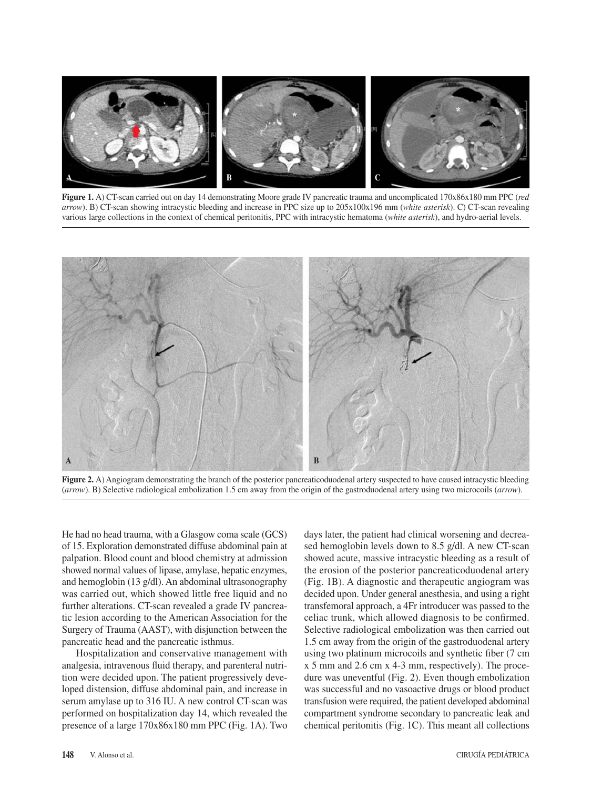

**Figure 1.** A) CT-scan carried out on day 14 demonstrating Moore grade IV pancreatic trauma and uncomplicated 170x86x180 mm PPC (*red arrow*). B) CT-scan showing intracystic bleeding and increase in PPC size up to 205x100x196 mm (*white asterisk*). C) CT-scan revealing various large collections in the context of chemical peritonitis, PPC with intracystic hematoma (*white asterisk*), and hydro-aerial levels.



**Figure 2.** A) Angiogram demonstrating the branch of the posterior pancreaticoduodenal artery suspected to have caused intracystic bleeding (*arrow*). B) Selective radiological embolization 1.5 cm away from the origin of the gastroduodenal artery using two microcoils (*arrow*).

He had no head trauma, with a Glasgow coma scale (GCS) of 15. Exploration demonstrated diffuse abdominal pain at palpation. Blood count and blood chemistry at admission showed normal values of lipase, amylase, hepatic enzymes, and hemoglobin (13 g/dl). An abdominal ultrasonography was carried out, which showed little free liquid and no further alterations. CT-scan revealed a grade IV pancreatic lesion according to the American Association for the Surgery of Trauma (AAST), with disjunction between the pancreatic head and the pancreatic isthmus.

Hospitalization and conservative management with analgesia, intravenous fluid therapy, and parenteral nutrition were decided upon. The patient progressively developed distension, diffuse abdominal pain, and increase in serum amylase up to 316 IU. A new control CT-scan was performed on hospitalization day 14, which revealed the presence of a large 170x86x180 mm PPC (Fig. 1A). Two days later, the patient had clinical worsening and decreased hemoglobin levels down to 8.5 g/dl. A new CT-scan showed acute, massive intracystic bleeding as a result of the erosion of the posterior pancreaticoduodenal artery (Fig. 1B). A diagnostic and therapeutic angiogram was decided upon. Under general anesthesia, and using a right transfemoral approach, a 4Fr introducer was passed to the celiac trunk, which allowed diagnosis to be confirmed. Selective radiological embolization was then carried out 1.5 cm away from the origin of the gastroduodenal artery using two platinum microcoils and synthetic fiber (7 cm x 5 mm and 2.6 cm x 4-3 mm, respectively). The procedure was uneventful (Fig. 2). Even though embolization was successful and no vasoactive drugs or blood product transfusion were required, the patient developed abdominal compartment syndrome secondary to pancreatic leak and chemical peritonitis (Fig. 1C). This meant all collections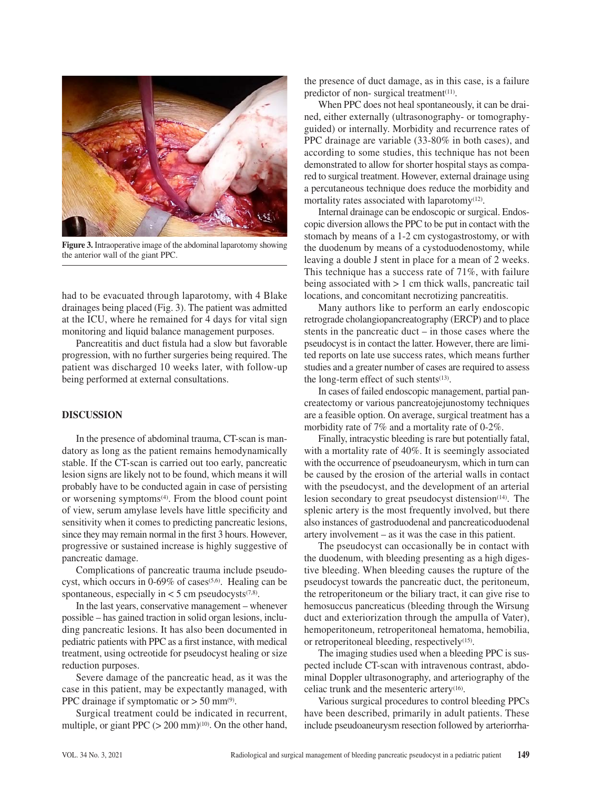

**Figure 3.** Intraoperative image of the abdominal laparotomy showing the anterior wall of the giant PPC.

had to be evacuated through laparotomy, with 4 Blake drainages being placed (Fig. 3). The patient was admitted at the ICU, where he remained for 4 days for vital sign monitoring and liquid balance management purposes.

Pancreatitis and duct fistula had a slow but favorable progression, with no further surgeries being required. The patient was discharged 10 weeks later, with follow-up being performed at external consultations.

#### **DISCUSSION**

In the presence of abdominal trauma, CT-scan is mandatory as long as the patient remains hemodynamically stable. If the CT-scan is carried out too early, pancreatic lesion signs are likely not to be found, which means it will probably have to be conducted again in case of persisting or worsening symptoms(4). From the blood count point of view, serum amylase levels have little specificity and sensitivity when it comes to predicting pancreatic lesions, since they may remain normal in the first 3 hours. However, progressive or sustained increase is highly suggestive of pancreatic damage.

Complications of pancreatic trauma include pseudocyst, which occurs in  $0.69\%$  of cases<sup> $(5.6)$ </sup>. Healing can be spontaneous, especially in  $<$  5 cm pseudocysts<sup> $(7,8)$ </sup>.

In the last years, conservative management – whenever possible – has gained traction in solid organ lesions, including pancreatic lesions. It has also been documented in pediatric patients with PPC as a first instance, with medical treatment, using octreotide for pseudocyst healing or size reduction purposes.

Severe damage of the pancreatic head, as it was the case in this patient, may be expectantly managed, with PPC drainage if symptomatic or  $>$  50 mm<sup>(9)</sup>.

Surgical treatment could be indicated in recurrent, multiple, or giant PPC  $(> 200 \text{ mm})$ <sup>(10)</sup>. On the other hand, the presence of duct damage, as in this case, is a failure predictor of non- surgical treatment $(11)$ .

When PPC does not heal spontaneously, it can be drained, either externally (ultrasonography- or tomographyguided) or internally. Morbidity and recurrence rates of PPC drainage are variable (33-80% in both cases), and according to some studies, this technique has not been demonstrated to allow for shorter hospital stays as compared to surgical treatment. However, external drainage using a percutaneous technique does reduce the morbidity and mortality rates associated with laparotomy $(12)$ .

Internal drainage can be endoscopic or surgical. Endoscopic diversion allows the PPC to be put in contact with the stomach by means of a 1-2 cm cystogastrostomy, or with the duodenum by means of a cystoduodenostomy, while leaving a double J stent in place for a mean of 2 weeks. This technique has a success rate of 71%, with failure being associated with > 1 cm thick walls, pancreatic tail locations, and concomitant necrotizing pancreatitis.

Many authors like to perform an early endoscopic retrograde cholangiopancreatography (ERCP) and to place stents in the pancreatic duct – in those cases where the pseudocyst is in contact the latter. However, there are limited reports on late use success rates, which means further studies and a greater number of cases are required to assess the long-term effect of such stents $(13)$ .

In cases of failed endoscopic management, partial pancreatectomy or various pancreatojejunostomy techniques are a feasible option. On average, surgical treatment has a morbidity rate of 7% and a mortality rate of 0-2%.

Finally, intracystic bleeding is rare but potentially fatal, with a mortality rate of 40%. It is seemingly associated with the occurrence of pseudoaneurysm, which in turn can be caused by the erosion of the arterial walls in contact with the pseudocyst, and the development of an arterial lesion secondary to great pseudocyst distension $(14)$ . The splenic artery is the most frequently involved, but there also instances of gastroduodenal and pancreaticoduodenal artery involvement – as it was the case in this patient.

The pseudocyst can occasionally be in contact with the duodenum, with bleeding presenting as a high digestive bleeding. When bleeding causes the rupture of the pseudocyst towards the pancreatic duct, the peritoneum, the retroperitoneum or the biliary tract, it can give rise to hemosuccus pancreaticus (bleeding through the Wirsung duct and exteriorization through the ampulla of Vater), hemoperitoneum, retroperitoneal hematoma, hemobilia, or retroperitoneal bleeding, respectively(15).

The imaging studies used when a bleeding PPC is suspected include CT-scan with intravenous contrast, abdominal Doppler ultrasonography, and arteriography of the celiac trunk and the mesenteric artery(16).

Various surgical procedures to control bleeding PPCs have been described, primarily in adult patients. These include pseudoaneurysm resection followed by arteriorrha-